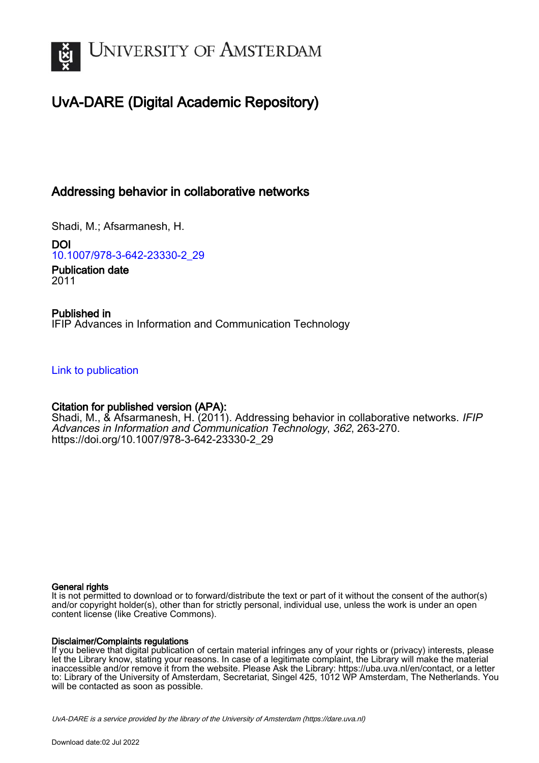

# UvA-DARE (Digital Academic Repository)

## Addressing behavior in collaborative networks

Shadi, M.; Afsarmanesh, H.

DOI [10.1007/978-3-642-23330-2\\_29](https://doi.org/10.1007/978-3-642-23330-2_29)

Publication date 2011

Published in IFIP Advances in Information and Communication Technology

[Link to publication](https://dare.uva.nl/personal/pure/en/publications/addressing-behavior-in-collaborative-networks(53c1a755-6a05-4bbd-aae9-aa65a8d2adba).html)

## Citation for published version (APA):

Shadi, M., & Afsarmanesh, H. (2011). Addressing behavior in collaborative networks. IFIP Advances in Information and Communication Technology, 362, 263-270. [https://doi.org/10.1007/978-3-642-23330-2\\_29](https://doi.org/10.1007/978-3-642-23330-2_29)

#### General rights

It is not permitted to download or to forward/distribute the text or part of it without the consent of the author(s) and/or copyright holder(s), other than for strictly personal, individual use, unless the work is under an open content license (like Creative Commons).

#### Disclaimer/Complaints regulations

If you believe that digital publication of certain material infringes any of your rights or (privacy) interests, please let the Library know, stating your reasons. In case of a legitimate complaint, the Library will make the material inaccessible and/or remove it from the website. Please Ask the Library: https://uba.uva.nl/en/contact, or a letter to: Library of the University of Amsterdam, Secretariat, Singel 425, 1012 WP Amsterdam, The Netherlands. You will be contacted as soon as possible.

UvA-DARE is a service provided by the library of the University of Amsterdam (http*s*://dare.uva.nl)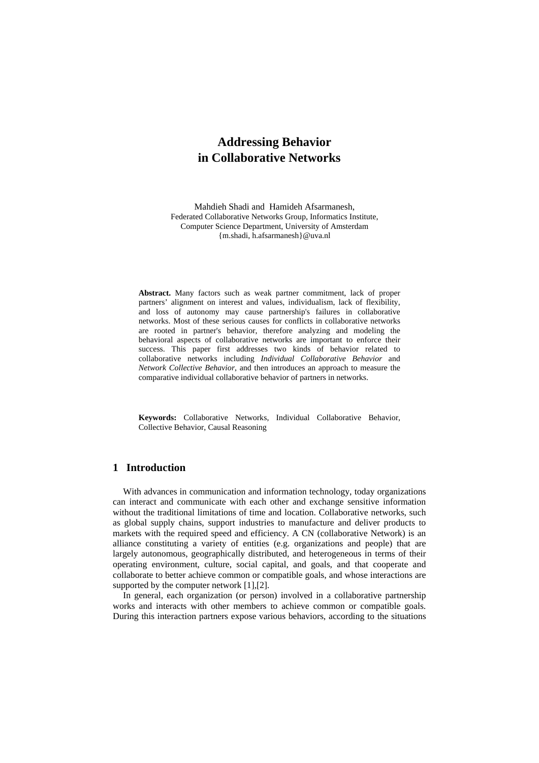## **Addressing Behavior in Collaborative Networks**

Mahdieh Shadi and Hamideh Afsarmanesh, Federated Collaborative Networks Group, Informatics Institute, Computer Science Department, University of Amsterdam {m.shadi, h.afsarmanesh}@uva.nl

**Abstract.** Many factors such as weak partner commitment, lack of proper partners' alignment on interest and values, individualism, lack of flexibility, and loss of autonomy may cause partnership's failures in collaborative networks. Most of these serious causes for conflicts in collaborative networks are rooted in partner's behavior, therefore analyzing and modeling the behavioral aspects of collaborative networks are important to enforce their success. This paper first addresses two kinds of behavior related to collaborative networks including *Individual Collaborative Behavior* and *Network Collective Behavior*, and then introduces an approach to measure the comparative individual collaborative behavior of partners in networks.

**Keywords:** Collaborative Networks, Individual Collaborative Behavior, Collective Behavior, Causal Reasoning

#### **1 Introduction**

With advances in communication and information technology, today organizations can interact and communicate with each other and exchange sensitive information without the traditional limitations of time and location. Collaborative networks, such as global supply chains, support industries to manufacture and deliver products to markets with the required speed and efficiency. A CN (collaborative Network) is an alliance constituting a variety of entities (e.g. organizations and people) that are largely autonomous, geographically distributed, and heterogeneous in terms of their operating environment, culture, social capital, and goals, and that cooperate and collaborate to better achieve common or compatible goals, and whose interactions are supported by the computer network [1],[2].

In general, each organization (or person) involved in a collaborative partnership works and interacts with other members to achieve common or compatible goals. During this interaction partners expose various behaviors, according to the situations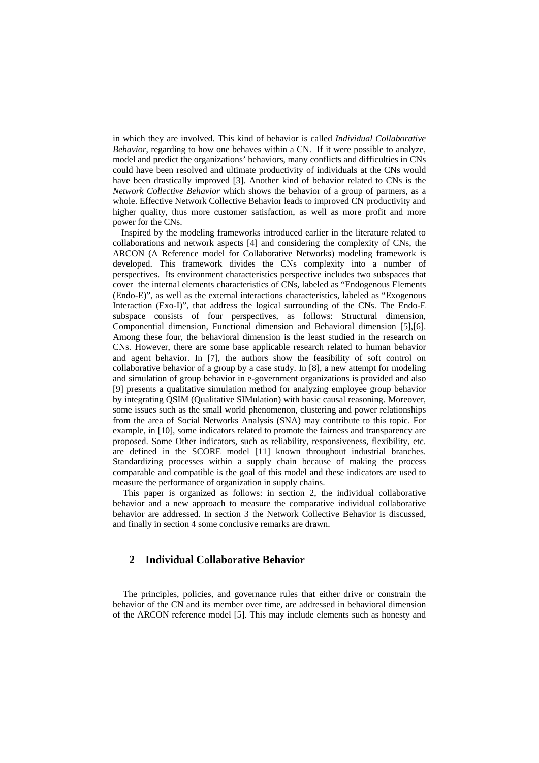in which they are involved. This kind of behavior is called *Individual Collaborative Behavior*, regarding to how one behaves within a CN. If it were possible to analyze, model and predict the organizations' behaviors, many conflicts and difficulties in CNs could have been resolved and ultimate productivity of individuals at the CNs would have been drastically improved [3]. Another kind of behavior related to CNs is the *Network Collective Behavior* which shows the behavior of a group of partners, as a whole. Effective Network Collective Behavior leads to improved CN productivity and higher quality, thus more customer satisfaction, as well as more profit and more power for the CNs.

Inspired by the modeling frameworks introduced earlier in the literature related to collaborations and network aspects [4] and considering the complexity of CNs, the ARCON (A Reference model for Collaborative Networks) modeling framework is developed. This framework divides the CNs complexity into a number of perspectives. Its environment characteristics perspective includes two subspaces that cover the internal elements characteristics of CNs, labeled as "Endogenous Elements (Endo-E)", as well as the external interactions characteristics, labeled as "Exogenous Interaction (Exo-I)", that address the logical surrounding of the CNs. The Endo-E subspace consists of four perspectives, as follows: Structural dimension, Componential dimension, Functional dimension and Behavioral dimension [5],[6]. Among these four, the behavioral dimension is the least studied in the research on CNs. However, there are some base applicable research related to human behavior and agent behavior. In [7], the authors show the feasibility of soft control on collaborative behavior of a group by a case study. In [8], a new attempt for modeling and simulation of group behavior in e-government organizations is provided and also [9] presents a qualitative simulation method for analyzing employee group behavior by integrating QSIM (Qualitative SIMulation) with basic causal reasoning. Moreover, some issues such as the small world phenomenon, clustering and power relationships from the area of Social Networks Analysis (SNA) may contribute to this topic. For example, in [10], some indicators related to promote the fairness and transparency are proposed. Some Other indicators, such as reliability, responsiveness, flexibility, etc. are defined in the SCORE model [11] known throughout industrial branches. Standardizing processes within a supply chain because of making the process comparable and compatible is the goal of this model and these indicators are used to measure the performance of organization in supply chains.

This paper is organized as follows: in section 2, the individual collaborative behavior and a new approach to measure the comparative individual collaborative behavior are addressed. In section 3 the Network Collective Behavior is discussed, and finally in section 4 some conclusive remarks are drawn.

### **2 Individual Collaborative Behavior**

The principles, policies, and governance rules that either drive or constrain the behavior of the CN and its member over time, are addressed in behavioral dimension of the ARCON reference model [5]. This may include elements such as honesty and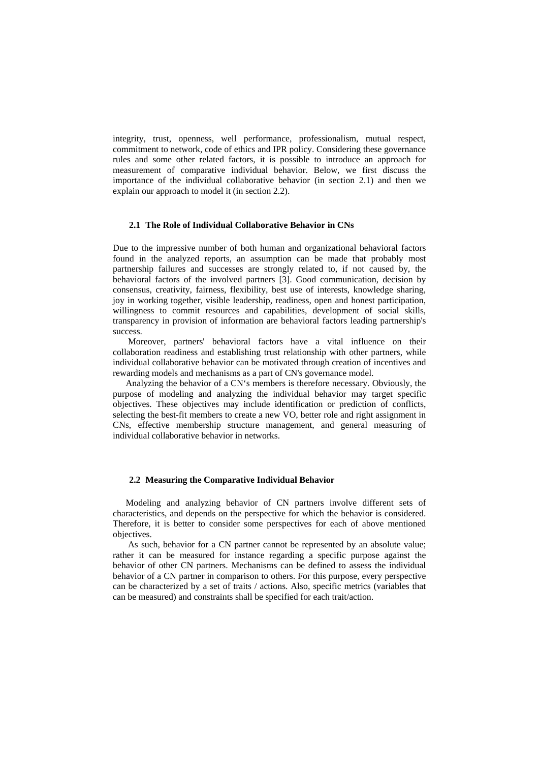integrity, trust, openness, well performance, professionalism, mutual respect, commitment to network, code of ethics and IPR policy. Considering these governance rules and some other related factors, it is possible to introduce an approach for measurement of comparative individual behavior. Below, we first discuss the importance of the individual collaborative behavior (in section 2.1) and then we explain our approach to model it (in section 2.2).

#### **2.1 The Role of Individual Collaborative Behavior in CNs**

Due to the impressive number of both human and organizational behavioral factors found in the analyzed reports, an assumption can be made that probably most partnership failures and successes are strongly related to, if not caused by, the behavioral factors of the involved partners [3]. Good communication, decision by consensus, creativity, fairness, flexibility, best use of interests, knowledge sharing, joy in working together, visible leadership, readiness, open and honest participation, willingness to commit resources and capabilities, development of social skills, transparency in provision of information are behavioral factors leading partnership's success.

 Moreover, partners' behavioral factors have a vital influence on their collaboration readiness and establishing trust relationship with other partners, while individual collaborative behavior can be motivated through creation of incentives and rewarding models and mechanisms as a part of CN's governance model.

Analyzing the behavior of a CN's members is therefore necessary. Obviously, the purpose of modeling and analyzing the individual behavior may target specific objectives. These objectives may include identification or prediction of conflicts, selecting the best-fit members to create a new VO, better role and right assignment in CNs, effective membership structure management, and general measuring of individual collaborative behavior in networks.

#### **2.2 Measuring the Comparative Individual Behavior**

Modeling and analyzing behavior of CN partners involve different sets of characteristics, and depends on the perspective for which the behavior is considered. Therefore, it is better to consider some perspectives for each of above mentioned objectives.

 As such, behavior for a CN partner cannot be represented by an absolute value; rather it can be measured for instance regarding a specific purpose against the behavior of other CN partners. Mechanisms can be defined to assess the individual behavior of a CN partner in comparison to others. For this purpose, every perspective can be characterized by a set of traits / actions. Also, specific metrics (variables that can be measured) and constraints shall be specified for each trait/action.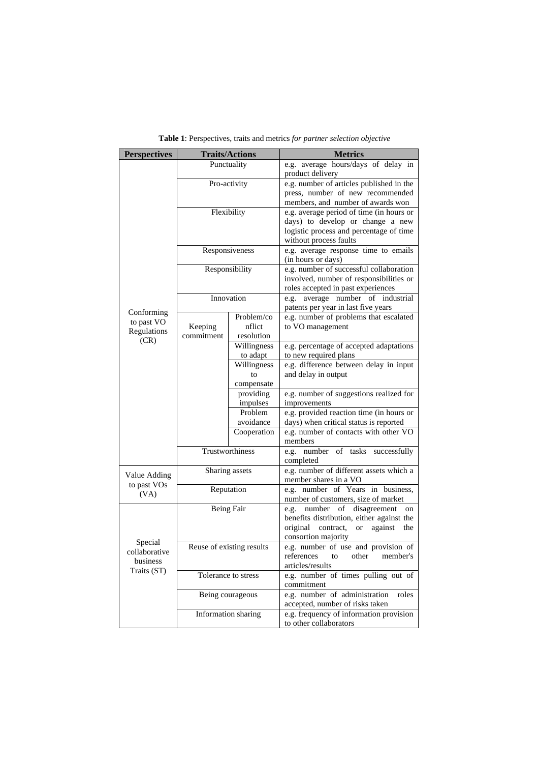| <b>Perspectives</b>                                 | <b>Traits/Actions</b>     |                       | <b>Metrics</b>                                           |
|-----------------------------------------------------|---------------------------|-----------------------|----------------------------------------------------------|
|                                                     | Punctuality               |                       | e.g. average hours/days of delay in                      |
| Conforming<br>to past VO<br>Regulations<br>(CR)     |                           |                       | product delivery                                         |
|                                                     |                           | Pro-activity          | e.g. number of articles published in the                 |
|                                                     |                           |                       | press, number of new recommended                         |
|                                                     |                           |                       | members, and number of awards won                        |
|                                                     | Flexibility               |                       | e.g. average period of time (in hours or                 |
|                                                     |                           |                       | days) to develop or change a new                         |
|                                                     |                           |                       | logistic process and percentage of time                  |
|                                                     |                           |                       | without process faults                                   |
|                                                     | Responsiveness            |                       | e.g. average response time to emails                     |
|                                                     |                           |                       | (in hours or days)                                       |
|                                                     | Responsibility            |                       | e.g. number of successful collaboration                  |
|                                                     |                           |                       | involved, number of responsibilities or                  |
|                                                     |                           |                       | roles accepted in past experiences                       |
|                                                     | Innovation                |                       | average number of industrial<br>e.g.                     |
|                                                     |                           |                       | patents per year in last five years                      |
|                                                     | Keeping<br>commitment     | Problem/co            | e.g. number of problems that escalated                   |
|                                                     |                           | nflict                | to VO management                                         |
|                                                     |                           | resolution            |                                                          |
|                                                     |                           | Willingness           | e.g. percentage of accepted adaptations                  |
|                                                     |                           | to adapt              | to new required plans                                    |
|                                                     |                           | Willingness           | e.g. difference between delay in input                   |
|                                                     |                           | to                    | and delay in output                                      |
|                                                     |                           | compensate            |                                                          |
|                                                     |                           | providing<br>impulses | e.g. number of suggestions realized for<br>improvements  |
|                                                     |                           | Problem               | e.g. provided reaction time (in hours or                 |
|                                                     |                           | avoidance             | days) when critical status is reported                   |
|                                                     |                           | Cooperation           | e.g. number of contacts with other VO                    |
|                                                     |                           |                       | members                                                  |
|                                                     | Trustworthiness           |                       | e.g. number of tasks successfully                        |
|                                                     |                           |                       | completed                                                |
| Value Adding<br>to past VOs<br>(VA)                 | Sharing assets            |                       | e.g. number of different assets which a                  |
|                                                     |                           |                       | member shares in a VO                                    |
|                                                     | Reputation                |                       | e.g. number of Years in business,                        |
|                                                     |                           |                       | number of customers, size of market                      |
|                                                     | <b>Being Fair</b>         |                       | disagreement<br>number of<br>e.g.<br>on                  |
|                                                     |                           |                       | benefits distribution, either against the                |
|                                                     |                           |                       | against<br>original<br>contract,<br>the<br><sub>or</sub> |
|                                                     |                           |                       | consortion majority                                      |
| Special<br>collaborative<br>business<br>Traits (ST) | Reuse of existing results |                       | e.g. number of use and provision of                      |
|                                                     |                           |                       | references<br>to<br>other<br>member's                    |
|                                                     |                           |                       | articles/results                                         |
|                                                     | Tolerance to stress       |                       | e.g. number of times pulling out of                      |
|                                                     |                           |                       | commitment                                               |
|                                                     | Being courageous          |                       | e.g. number of administration<br>roles                   |
|                                                     |                           |                       | accepted, number of risks taken                          |
|                                                     | Information sharing       |                       | e.g. frequency of information provision                  |
|                                                     |                           |                       | to other collaborators                                   |

**Table 1**: Perspectives, traits and metrics *for partner selection objective*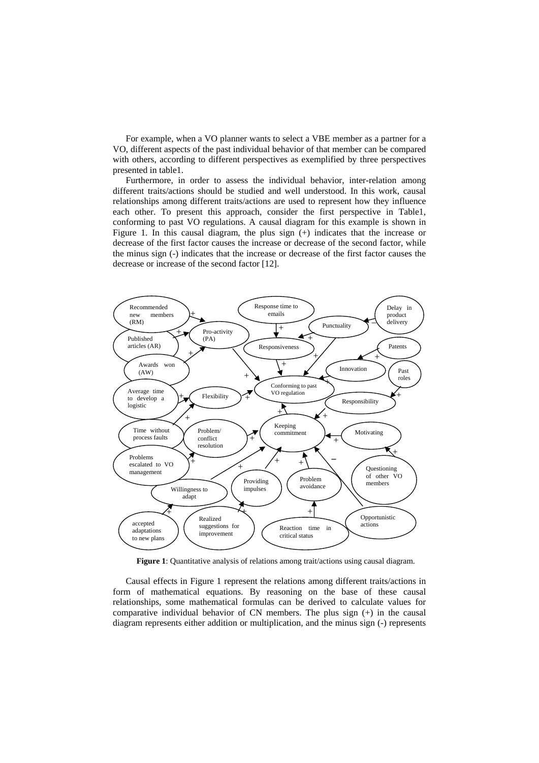For example, when a VO planner wants to select a VBE member as a partner for a VO, different aspects of the past individual behavior of that member can be compared with others, according to different perspectives as exemplified by three perspectives presented in table1.

Furthermore, in order to assess the individual behavior, inter-relation among different traits/actions should be studied and well understood. In this work, causal relationships among different traits/actions are used to represent how they influence each other. To present this approach, consider the first perspective in Table1, conforming to past VO regulations. A causal diagram for this example is shown in Figure 1. In this causal diagram, the plus sign  $(+)$  indicates that the increase or decrease of the first factor causes the increase or decrease of the second factor, while the minus sign (-) indicates that the increase or decrease of the first factor causes the decrease or increase of the second factor [12].



**Figure 1**: Quantitative analysis of relations among trait/actions using causal diagram.

Causal effects in Figure 1 represent the relations among different traits/actions in form of mathematical equations. By reasoning on the base of these causal relationships, some mathematical formulas can be derived to calculate values for comparative individual behavior of  $CN$  members. The plus sign  $(+)$  in the causal diagram represents either addition or multiplication, and the minus sign (-) represents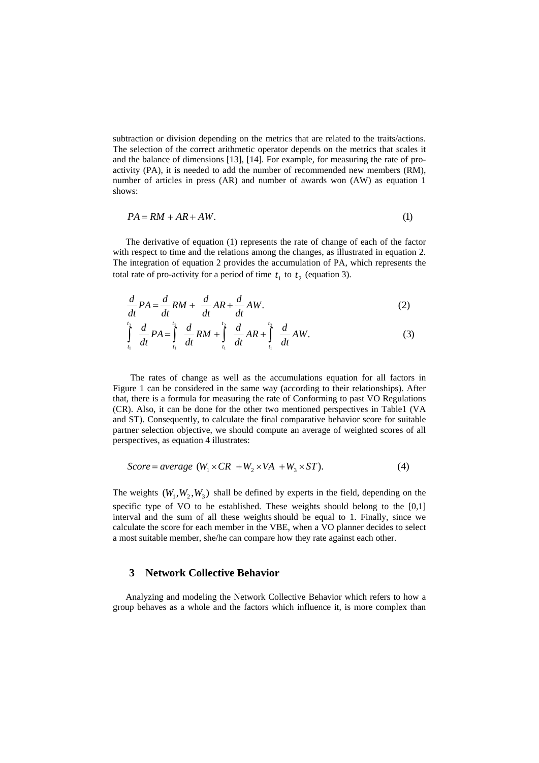subtraction or division depending on the metrics that are related to the traits/actions. The selection of the correct arithmetic operator depends on the metrics that scales it and the balance of dimensions [13], [14]. For example, for measuring the rate of proactivity (PA), it is needed to add the number of recommended new members (RM), number of articles in press (AR) and number of awards won (AW) as equation 1 shows:

$$
PA = RM + AR + AW. \tag{1}
$$

The derivative of equation (1) represents the rate of change of each of the factor with respect to time and the relations among the changes, as illustrated in equation 2. The integration of equation 2 provides the accumulation of PA, which represents the total rate of pro-activity for a period of time  $t_1$  to  $t_2$  (equation 3).

$$
\frac{d}{dt}PA = \frac{d}{dt}RM + \frac{d}{dt}AR + \frac{d}{dt}AW.
$$
\n(2)

$$
\int_{t_1}^{t_2} \frac{d}{dt} PA = \int_{t_1}^{t_2} \frac{d}{dt} RM + \int_{t_1}^{t_2} \frac{d}{dt} AR + \int_{t_1}^{t_2} \frac{d}{dt} AW.
$$
 (3)

 The rates of change as well as the accumulations equation for all factors in Figure 1 can be considered in the same way (according to their relationships). After that, there is a formula for measuring the rate of Conforming to past VO Regulations (CR). Also, it can be done for the other two mentioned perspectives in Table1 (VA and ST). Consequently, to calculate the final comparative behavior score for suitable partner selection objective, we should compute an average of weighted scores of all perspectives, as equation 4 illustrates:

$$
Score = average (W_1 \times CR + W_2 \times VA + W_3 \times ST).
$$
 (4)

The weights  $(W_1, W_2, W_3)$  shall be defined by experts in the field, depending on the specific type of VO to be established. These weights should belong to the [0,1] interval and the sum of all these weights should be equal to 1. Finally, since we calculate the score for each member in the VBE, when a VO planner decides to select a most suitable member, she/he can compare how they rate against each other.

### **3 Network Collective Behavior**

Analyzing and modeling the Network Collective Behavior which refers to how a group behaves as a whole and the factors which influence it, is more complex than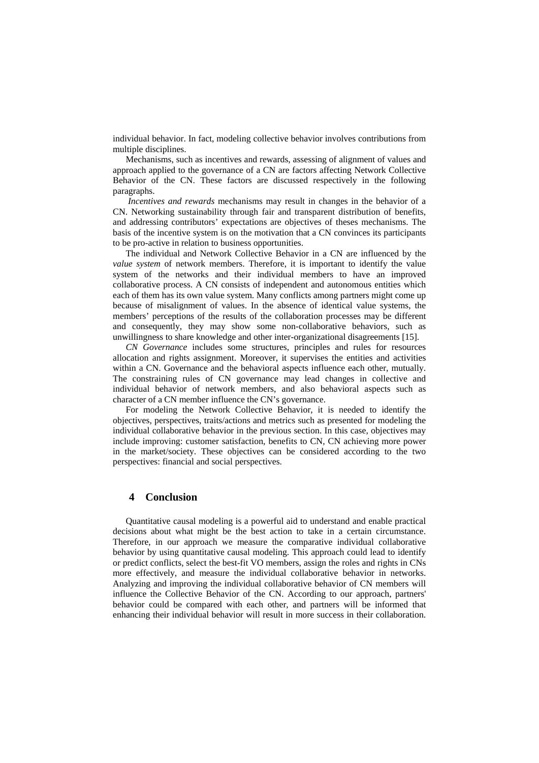individual behavior. In fact, modeling collective behavior involves contributions from multiple disciplines.

Mechanisms, such as incentives and rewards, assessing of alignment of values and approach applied to the governance of a CN are factors affecting Network Collective Behavior of the CN. These factors are discussed respectively in the following paragraphs.

 *Incentives and rewards* mechanisms may result in changes in the behavior of a CN. Networking sustainability through fair and transparent distribution of benefits, and addressing contributors' expectations are objectives of theses mechanisms. The basis of the incentive system is on the motivation that a CN convinces its participants to be pro-active in relation to business opportunities.

The individual and Network Collective Behavior in a CN are influenced by the *value system* of network members. Therefore, it is important to identify the value system of the networks and their individual members to have an improved collaborative process. A CN consists of independent and autonomous entities which each of them has its own value system. Many conflicts among partners might come up because of misalignment of values. In the absence of identical value systems, the members' perceptions of the results of the collaboration processes may be different and consequently, they may show some non-collaborative behaviors, such as unwillingness to share knowledge and other inter-organizational disagreements [15].

*CN Governance* includes some structures, principles and rules for resources allocation and rights assignment. Moreover, it supervises the entities and activities within a CN. Governance and the behavioral aspects influence each other, mutually. The constraining rules of CN governance may lead changes in collective and individual behavior of network members, and also behavioral aspects such as character of a CN member influence the CN's governance.

For modeling the Network Collective Behavior, it is needed to identify the objectives, perspectives, traits/actions and metrics such as presented for modeling the individual collaborative behavior in the previous section. In this case, objectives may include improving: customer satisfaction, benefits to CN, CN achieving more power in the market/society. These objectives can be considered according to the two perspectives: financial and social perspectives.

#### **4 Conclusion**

Quantitative causal modeling is a powerful aid to understand and enable practical decisions about what might be the best action to take in a certain circumstance. Therefore, in our approach we measure the comparative individual collaborative behavior by using quantitative causal modeling. This approach could lead to identify or predict conflicts, select the best-fit VO members, assign the roles and rights in CNs more effectively, and measure the individual collaborative behavior in networks. Analyzing and improving the individual collaborative behavior of CN members will influence the Collective Behavior of the CN. According to our approach, partners' behavior could be compared with each other, and partners will be informed that enhancing their individual behavior will result in more success in their collaboration.